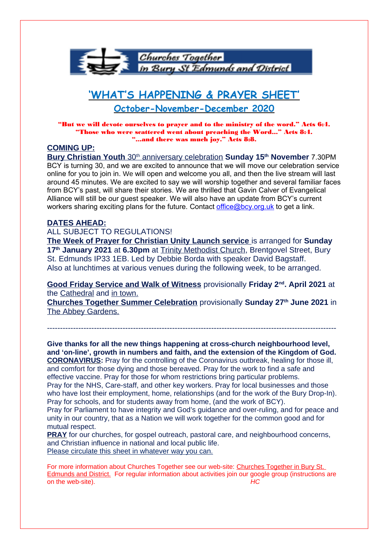

# **'WHAT'S HAPPENING & PRAYER SHEET'**

## **October-November-December 2020**

"But we will devote ourselves to prayer and to the ministry of the word." Acts 6:4. "Those who were scattered went about preaching the Word..." Acts 8:4. "...and there was much joy." Acts 8:8.

### **COMING UP:**

**Bury Christian Youth** 30<sup>th</sup> anniversary celebration Sunday 15<sup>th</sup> November 7.30PM BCY is turning 30, and we are excited to announce that we will move our celebration service online for you to join in. We will open and welcome you all, and then the live stream will last around 45 minutes. We are excited to say we will worship together and several familiar faces from BCY's past, will share their stories. We are thrilled that Gavin Calver of Evangelical Alliance will still be our guest speaker. We will also have an update from BCY's current workers sharing exciting plans for the future. Contact [office@bcy.org.uk](mailto:office@bcy.org.uk) to get a link.

#### **DATES AHEAD:**

#### ALL SUBJECT TO REGULATIONS!

 **The Week of Prayer for Christian Unity Launch service** is arranged for **Sunday 17th January 2021** at **6.30pm** at Trinity Methodist Church, Brentgovel Street, Bury St. Edmunds IP33 1EB. Led by Debbie Borda with speaker David Bagstaff. Also at lunchtimes at various venues during the following week, to be arranged.

**Good Friday Service and Walk of Witness** provisionally **Friday 2nd. April 2021** at the Cathedral and in town.

**Churches Together Summer Celebration** provisionally **Sunday 27th June 2021** in The Abbey Gardens.

---------------------------------------------------------------------------------------------------------------

**Give thanks for all the new things happening at cross-church neighbourhood level, and 'on-line', growth in numbers and faith, and the extension of the Kingdom of God. CORONAVIRUS:** Pray for the controlling of the Coronavirus outbreak, healing for those ill, and comfort for those dying and those bereaved. Pray for the work to find a safe and effective vaccine. Pray for those for whom restrictions bring particular problems. Pray for the NHS, Care-staff, and other key workers. Pray for local businesses and those who have lost their employment, home, relationships (and for the work of the Bury Drop-In). Pray for schools, and for students away from home, (and the work of BCY). Pray for Parliament to have integrity and God's guidance and over-ruling, and for peace and

unity in our country, that as a Nation we will work together for the common good and for mutual respect.

**PRAY** for our churches, for gospel outreach, pastoral care, and neighbourhood concerns, and Christian influence in national and local public life. Please circulate this sheet in whatever way you can.

For more information about Churches Together see our web-site: Churches Together in Bury St. Edmunds and District. For regular information about activities join our google group (instructions are on the web-site). HC